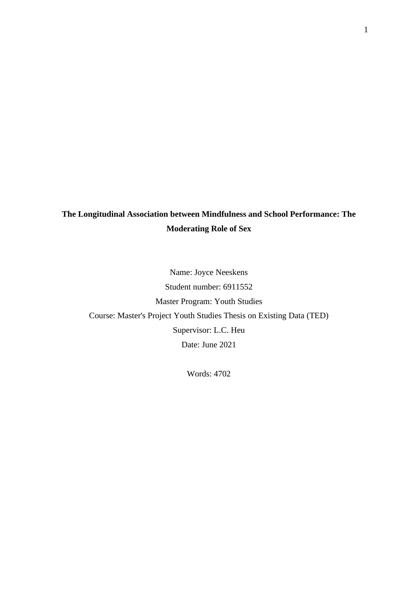# **The Longitudinal Association between Mindfulness and School Performance: The Moderating Role of Sex**

Name: Joyce Neeskens Student number: 6911552 Master Program: Youth Studies Course: Master's Project Youth Studies Thesis on Existing Data (TED) Supervisor: L.C. Heu Date: June 2021

Words: 4702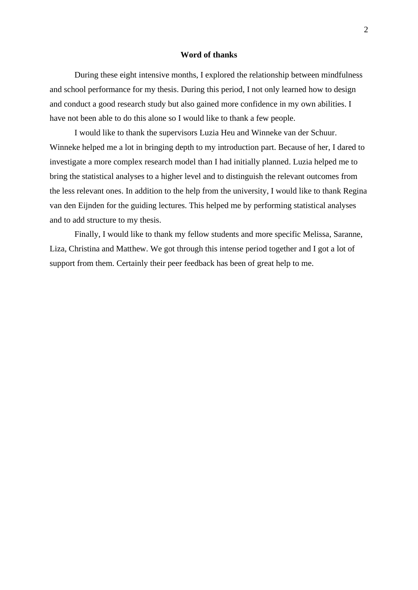### **Word of thanks**

During these eight intensive months, I explored the relationship between mindfulness and school performance for my thesis. During this period, I not only learned how to design and conduct a good research study but also gained more confidence in my own abilities. I have not been able to do this alone so I would like to thank a few people.

I would like to thank the supervisors Luzia Heu and Winneke van der Schuur. Winneke helped me a lot in bringing depth to my introduction part. Because of her, I dared to investigate a more complex research model than I had initially planned. Luzia helped me to bring the statistical analyses to a higher level and to distinguish the relevant outcomes from the less relevant ones. In addition to the help from the university, I would like to thank Regina van den Eijnden for the guiding lectures. This helped me by performing statistical analyses and to add structure to my thesis.

Finally, I would like to thank my fellow students and more specific Melissa, Saranne, Liza, Christina and Matthew. We got through this intense period together and I got a lot of support from them. Certainly their peer feedback has been of great help to me.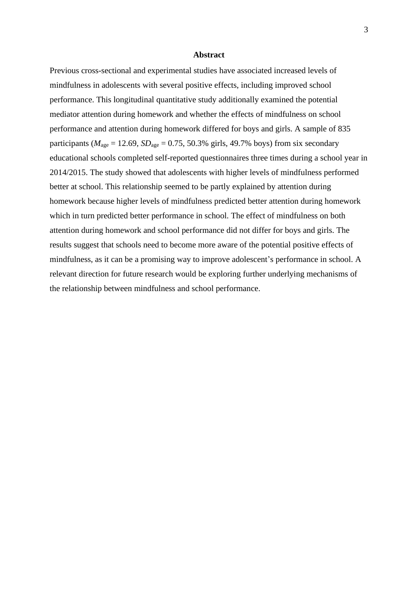### **Abstract**

Previous cross-sectional and experimental studies have associated increased levels of mindfulness in adolescents with several positive effects, including improved school performance. This longitudinal quantitative study additionally examined the potential mediator attention during homework and whether the effects of mindfulness on school performance and attention during homework differed for boys and girls. A sample of 835 participants ( $M_{\text{age}} = 12.69$ ,  $SD_{\text{age}} = 0.75$ , 50.3% girls, 49.7% boys) from six secondary educational schools completed self-reported questionnaires three times during a school year in 2014/2015. The study showed that adolescents with higher levels of mindfulness performed better at school. This relationship seemed to be partly explained by attention during homework because higher levels of mindfulness predicted better attention during homework which in turn predicted better performance in school. The effect of mindfulness on both attention during homework and school performance did not differ for boys and girls. The results suggest that schools need to become more aware of the potential positive effects of mindfulness, as it can be a promising way to improve adolescent's performance in school. A relevant direction for future research would be exploring further underlying mechanisms of the relationship between mindfulness and school performance.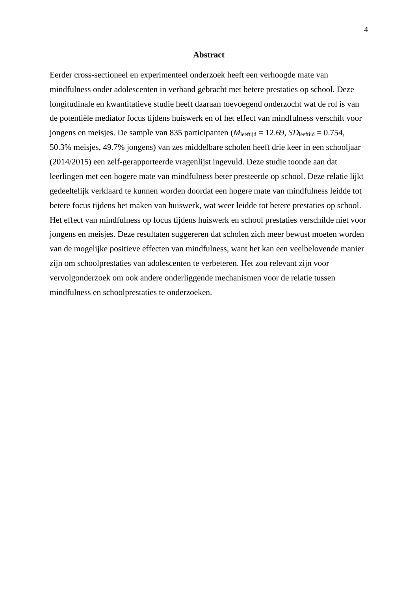### **Abstract**

Eerder cross-sectioneel en experimenteel onderzoek heeft een verhoogde mate van mindfulness onder adolescenten in verband gebracht met betere prestaties op school. Deze longitudinale en kwantitatieve studie heeft daaraan toevoegend onderzocht wat de rol is van de potentiële mediator focus tijdens huiswerk en of het effect van mindfulness verschilt voor jongens en meisjes. De sample van 835 participanten (*M*leeftijd = 12.69, *SD*leeftijd = 0.754, 50.3% meisjes, 49.7% jongens) van zes middelbare scholen heeft drie keer in een schooljaar (2014/2015) een zelf-gerapporteerde vragenlijst ingevuld. Deze studie toonde aan dat leerlingen met een hogere mate van mindfulness beter presteerde op school. Deze relatie lijkt gedeeltelijk verklaard te kunnen worden doordat een hogere mate van mindfulness leidde tot betere focus tijdens het maken van huiswerk, wat weer leidde tot betere prestaties op school. Het effect van mindfulness op focus tijdens huiswerk en school prestaties verschilde niet voor jongens en meisjes. Deze resultaten suggereren dat scholen zich meer bewust moeten worden van de mogelijke positieve effecten van mindfulness, want het kan een veelbelovende manier zijn om schoolprestaties van adolescenten te verbeteren. Het zou relevant zijn voor vervolgonderzoek om ook andere onderliggende mechanismen voor de relatie tussen mindfulness en schoolprestaties te onderzoeken.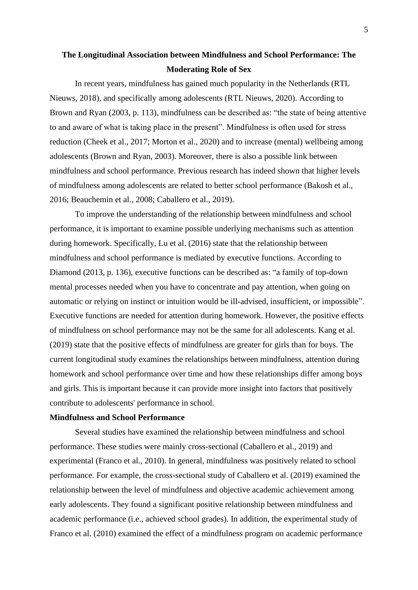# **The Longitudinal Association between Mindfulness and School Performance: The Moderating Role of Sex**

In recent years, mindfulness has gained much popularity in the Netherlands (RTL Nieuws, 2018), and specifically among adolescents (RTL Nieuws, 2020). According to Brown and Ryan (2003, p. 113), mindfulness can be described as: "the state of being attentive to and aware of what is taking place in the present". Mindfulness is often used for stress reduction (Cheek et al., 2017; Morton et al., 2020) and to increase (mental) wellbeing among adolescents (Brown and Ryan, 2003). Moreover, there is also a possible link between mindfulness and school performance. Previous research has indeed shown that higher levels of mindfulness among adolescents are related to better school performance (Bakosh et al., 2016; Beauchemin et al., 2008; Caballero et al., 2019).

To improve the understanding of the relationship between mindfulness and school performance, it is important to examine possible underlying mechanisms such as attention during homework. Specifically, Lu et al. (2016) state that the relationship between mindfulness and school performance is mediated by executive functions. According to Diamond (2013, p. 136), executive functions can be described as: "a family of top-down mental processes needed when you have to concentrate and pay attention, when going on automatic or relying on instinct or intuition would be ill-advised, insufficient, or impossible". Executive functions are needed for attention during homework. However, the positive effects of mindfulness on school performance may not be the same for all adolescents. Kang et al. (2019) state that the positive effects of mindfulness are greater for girls than for boys. The current longitudinal study examines the relationships between mindfulness, attention during homework and school performance over time and how these relationships differ among boys and girls. This is important because it can provide more insight into factors that positively contribute to adolescents' performance in school.

### **Mindfulness and School Performance**

Several studies have examined the relationship between mindfulness and school performance. These studies were mainly cross-sectional (Caballero et al., 2019) and experimental (Franco et al., 2010). In general, mindfulness was positively related to school performance. For example, the cross-sectional study of Caballero et al. (2019) examined the relationship between the level of mindfulness and objective academic achievement among early adolescents. They found a significant positive relationship between mindfulness and academic performance (i.e., achieved school grades). In addition, the experimental study of Franco et al. (2010) examined the effect of a mindfulness program on academic performance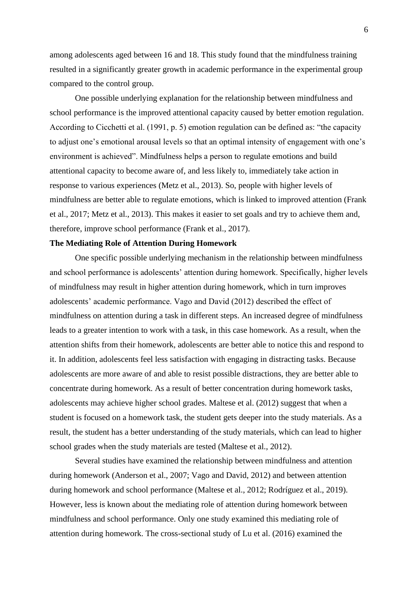among adolescents aged between 16 and 18. This study found that the mindfulness training resulted in a significantly greater growth in academic performance in the experimental group compared to the control group.

One possible underlying explanation for the relationship between mindfulness and school performance is the improved attentional capacity caused by better emotion regulation. According to Cicchetti et al. (1991, p. 5) emotion regulation can be defined as: "the capacity to adjust one's emotional arousal levels so that an optimal intensity of engagement with one's environment is achieved". Mindfulness helps a person to regulate emotions and build attentional capacity to become aware of, and less likely to, immediately take action in response to various experiences (Metz et al., 2013). So, people with higher levels of mindfulness are better able to regulate emotions, which is linked to improved attention (Frank et al., 2017; Metz et al., 2013). This makes it easier to set goals and try to achieve them and, therefore, improve school performance (Frank et al., 2017).

#### **The Mediating Role of Attention During Homework**

One specific possible underlying mechanism in the relationship between mindfulness and school performance is adolescents' attention during homework. Specifically, higher levels of mindfulness may result in higher attention during homework, which in turn improves adolescents' academic performance. Vago and David (2012) described the effect of mindfulness on attention during a task in different steps. An increased degree of mindfulness leads to a greater intention to work with a task, in this case homework. As a result, when the attention shifts from their homework, adolescents are better able to notice this and respond to it. In addition, adolescents feel less satisfaction with engaging in distracting tasks. Because adolescents are more aware of and able to resist possible distractions, they are better able to concentrate during homework. As a result of better concentration during homework tasks, adolescents may achieve higher school grades. Maltese et al. (2012) suggest that when a student is focused on a homework task, the student gets deeper into the study materials. As a result, the student has a better understanding of the study materials, which can lead to higher school grades when the study materials are tested (Maltese et al., 2012).

Several studies have examined the relationship between mindfulness and attention during homework (Anderson et al., 2007; Vago and David, 2012) and between attention during homework and school performance (Maltese et al., 2012; Rodríguez et al., 2019). However, less is known about the mediating role of attention during homework between mindfulness and school performance. Only one study examined this mediating role of attention during homework. The cross-sectional study of Lu et al. (2016) examined the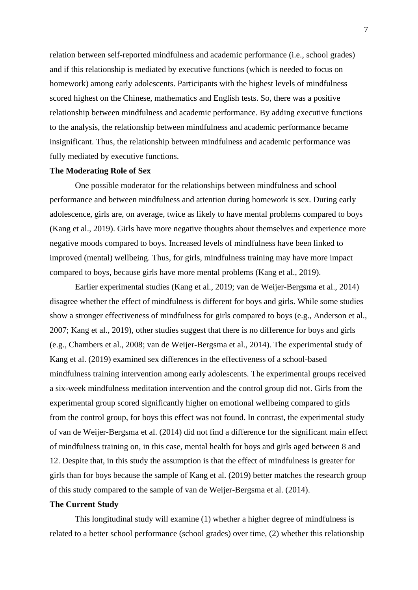relation between self-reported mindfulness and academic performance (i.e., school grades) and if this relationship is mediated by executive functions (which is needed to focus on homework) among early adolescents. Participants with the highest levels of mindfulness scored highest on the Chinese, mathematics and English tests. So, there was a positive relationship between mindfulness and academic performance. By adding executive functions to the analysis, the relationship between mindfulness and academic performance became insignificant. Thus, the relationship between mindfulness and academic performance was fully mediated by executive functions.

#### **The Moderating Role of Sex**

One possible moderator for the relationships between mindfulness and school performance and between mindfulness and attention during homework is sex. During early adolescence, girls are, on average, twice as likely to have mental problems compared to boys (Kang et al., 2019). Girls have more negative thoughts about themselves and experience more negative moods compared to boys. Increased levels of mindfulness have been linked to improved (mental) wellbeing. Thus, for girls, mindfulness training may have more impact compared to boys, because girls have more mental problems (Kang et al., 2019).

Earlier experimental studies (Kang et al., 2019; van de Weijer-Bergsma et al., 2014) disagree whether the effect of mindfulness is different for boys and girls. While some studies show a stronger effectiveness of mindfulness for girls compared to boys (e.g., Anderson et al., 2007; Kang et al., 2019), other studies suggest that there is no difference for boys and girls (e.g., Chambers et al., 2008; van de Weijer-Bergsma et al., 2014). The experimental study of Kang et al. (2019) examined sex differences in the effectiveness of a school-based mindfulness training intervention among early adolescents. The experimental groups received a six-week mindfulness meditation intervention and the control group did not. Girls from the experimental group scored significantly higher on emotional wellbeing compared to girls from the control group, for boys this effect was not found. In contrast, the experimental study of van de Weijer-Bergsma et al. (2014) did not find a difference for the significant main effect of mindfulness training on, in this case, mental health for boys and girls aged between 8 and 12. Despite that, in this study the assumption is that the effect of mindfulness is greater for girls than for boys because the sample of Kang et al. (2019) better matches the research group of this study compared to the sample of van de Weijer-Bergsma et al. (2014).

### **The Current Study**

This longitudinal study will examine (1) whether a higher degree of mindfulness is related to a better school performance (school grades) over time, (2) whether this relationship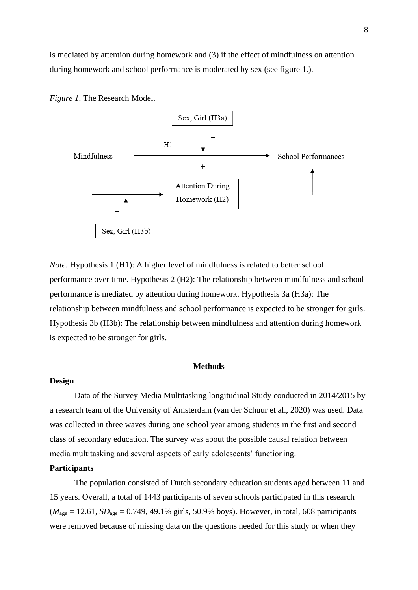is mediated by attention during homework and (3) if the effect of mindfulness on attention during homework and school performance is moderated by sex (see figure 1.).

*Figure 1*. The Research Model.



*Note*. Hypothesis 1 (H1): A higher level of mindfulness is related to better school performance over time. Hypothesis 2 (H2): The relationship between mindfulness and school performance is mediated by attention during homework. Hypothesis 3a (H3a): The relationship between mindfulness and school performance is expected to be stronger for girls. Hypothesis 3b (H3b): The relationship between mindfulness and attention during homework is expected to be stronger for girls.

### **Methods**

### **Design**

Data of the Survey Media Multitasking longitudinal Study conducted in 2014/2015 by a research team of the University of Amsterdam (van der Schuur et al., 2020) was used. Data was collected in three waves during one school year among students in the first and second class of secondary education. The survey was about the possible causal relation between media multitasking and several aspects of early adolescents' functioning.

### **Participants**

The population consisted of Dutch secondary education students aged between 11 and 15 years. Overall, a total of 1443 participants of seven schools participated in this research  $(M<sub>age</sub> = 12.61, SD<sub>age</sub> = 0.749, 49.1%$  girls, 50.9% boys). However, in total, 608 participants were removed because of missing data on the questions needed for this study or when they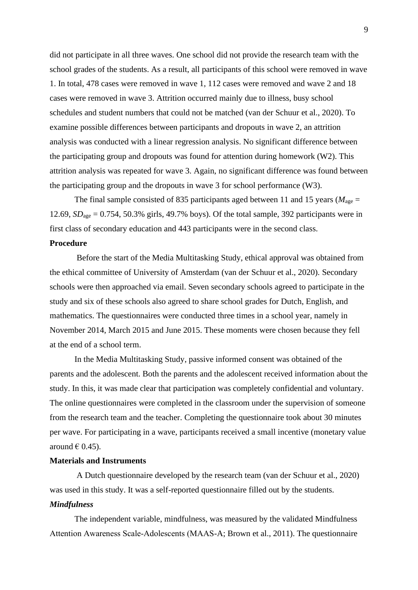did not participate in all three waves. One school did not provide the research team with the school grades of the students. As a result, all participants of this school were removed in wave 1. In total, 478 cases were removed in wave 1, 112 cases were removed and wave 2 and 18 cases were removed in wave 3. Attrition occurred mainly due to illness, busy school schedules and student numbers that could not be matched (van der Schuur et al., 2020). To examine possible differences between participants and dropouts in wave 2, an attrition analysis was conducted with a linear regression analysis. No significant difference between the participating group and dropouts was found for attention during homework (W2). This attrition analysis was repeated for wave 3. Again, no significant difference was found between the participating group and the dropouts in wave 3 for school performance (W3).

The final sample consisted of 835 participants aged between 11 and 15 years ( $M_{\text{age}} =$ 12.69,  $SD<sub>age</sub> = 0.754$ , 50.3% girls, 49.7% boys). Of the total sample, 392 participants were in first class of secondary education and 443 participants were in the second class. **Procedure** 

Before the start of the Media Multitasking Study, ethical approval was obtained from the ethical committee of University of Amsterdam (van der Schuur et al., 2020). Secondary schools were then approached via email. Seven secondary schools agreed to participate in the study and six of these schools also agreed to share school grades for Dutch, English, and mathematics. The questionnaires were conducted three times in a school year, namely in November 2014, March 2015 and June 2015. These moments were chosen because they fell at the end of a school term.

In the Media Multitasking Study, passive informed consent was obtained of the parents and the adolescent. Both the parents and the adolescent received information about the study. In this, it was made clear that participation was completely confidential and voluntary. The online questionnaires were completed in the classroom under the supervision of someone from the research team and the teacher. Completing the questionnaire took about 30 minutes per wave. For participating in a wave, participants received a small incentive (monetary value around € 0.45).

### **Materials and Instruments**

A Dutch questionnaire developed by the research team (van der Schuur et al., 2020) was used in this study. It was a self-reported questionnaire filled out by the students.

### *Mindfulness*

The independent variable, mindfulness, was measured by the validated Mindfulness Attention Awareness Scale‐Adolescents (MAAS-A; Brown et al., 2011). The questionnaire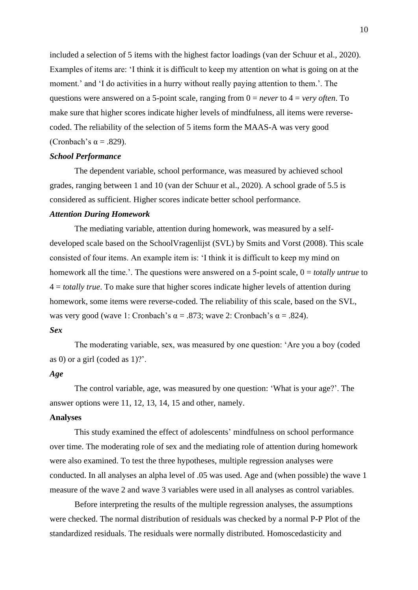included a selection of 5 items with the highest factor loadings (van der Schuur et al., 2020). Examples of items are: 'I think it is difficult to keep my attention on what is going on at the moment.' and 'I do activities in a hurry without really paying attention to them.'. The questions were answered on a 5-point scale, ranging from 0 = *never* to 4 = *very often*. To make sure that higher scores indicate higher levels of mindfulness, all items were reversecoded. The reliability of the selection of 5 items form the MAAS-A was very good (Cronbach's  $\alpha$  = .829).

### *School Performance*

The dependent variable, school performance, was measured by achieved school grades, ranging between 1 and 10 (van der Schuur et al., 2020). A school grade of 5.5 is considered as sufficient. Higher scores indicate better school performance.

### *Attention During Homework*

The mediating variable, attention during homework, was measured by a selfdeveloped scale based on the SchoolVragenlijst (SVL) by Smits and Vorst (2008). This scale consisted of four items. An example item is: 'I think it is difficult to keep my mind on homework all the time.<sup>'</sup>. The questions were answered on a 5-point scale,  $0 = totally$  *untrue* to 4 = *totally true*. To make sure that higher scores indicate higher levels of attention during homework, some items were reverse-coded. The reliability of this scale, based on the SVL, was very good (wave 1: Cronbach's  $\alpha = .873$ ; wave 2: Cronbach's  $\alpha = .824$ ).

### *Sex*

The moderating variable, sex, was measured by one question: 'Are you a boy (coded as 0) or a girl (coded as 1)?'.

### *Age*

The control variable, age, was measured by one question: 'What is your age?'. The answer options were 11, 12, 13, 14, 15 and other, namely.

## **Analyses**

This study examined the effect of adolescents' mindfulness on school performance over time. The moderating role of sex and the mediating role of attention during homework were also examined. To test the three hypotheses, multiple regression analyses were conducted. In all analyses an alpha level of .05 was used. Age and (when possible) the wave 1 measure of the wave 2 and wave 3 variables were used in all analyses as control variables.

Before interpreting the results of the multiple regression analyses, the assumptions were checked. The normal distribution of residuals was checked by a normal P-P Plot of the standardized residuals. The residuals were normally distributed. Homoscedasticity and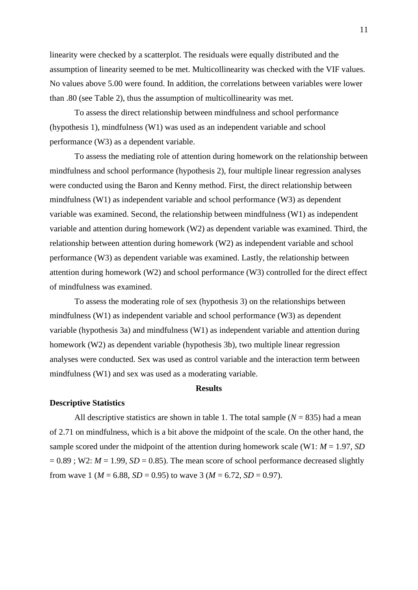linearity were checked by a scatterplot. The residuals were equally distributed and the assumption of linearity seemed to be met. Multicollinearity was checked with the VIF values. No values above 5.00 were found. In addition, the correlations between variables were lower than .80 (see Table 2), thus the assumption of multicollinearity was met.

To assess the direct relationship between mindfulness and school performance (hypothesis 1), mindfulness (W1) was used as an independent variable and school performance (W3) as a dependent variable.

To assess the mediating role of attention during homework on the relationship between mindfulness and school performance (hypothesis 2), four multiple linear regression analyses were conducted using the Baron and Kenny method. First, the direct relationship between mindfulness (W1) as independent variable and school performance (W3) as dependent variable was examined. Second, the relationship between mindfulness (W1) as independent variable and attention during homework (W2) as dependent variable was examined. Third, the relationship between attention during homework (W2) as independent variable and school performance (W3) as dependent variable was examined. Lastly, the relationship between attention during homework (W2) and school performance (W3) controlled for the direct effect of mindfulness was examined.

To assess the moderating role of sex (hypothesis 3) on the relationships between mindfulness (W1) as independent variable and school performance (W3) as dependent variable (hypothesis 3a) and mindfulness (W1) as independent variable and attention during homework (W2) as dependent variable (hypothesis 3b), two multiple linear regression analyses were conducted. Sex was used as control variable and the interaction term between mindfulness (W1) and sex was used as a moderating variable.

### **Results**

#### **Descriptive Statistics**

All descriptive statistics are shown in table 1. The total sample  $(N = 835)$  had a mean of 2.71 on mindfulness, which is a bit above the midpoint of the scale. On the other hand, the sample scored under the midpoint of the attention during homework scale (W1: *M* = 1.97, *SD*  $= 0.89$ ; W2:  $M = 1.99$ ,  $SD = 0.85$ ). The mean score of school performance decreased slightly from wave 1 ( $M = 6.88$ ,  $SD = 0.95$ ) to wave 3 ( $M = 6.72$ ,  $SD = 0.97$ ).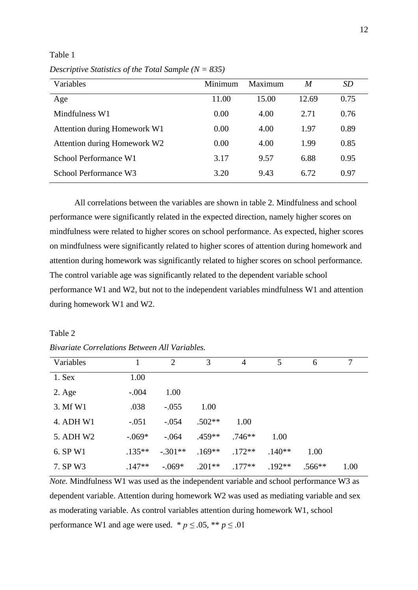Table 1

| Descriptive Statistics of the Total Sample ( $N = 835$ ) |  |  |  |
|----------------------------------------------------------|--|--|--|
|                                                          |  |  |  |

| Variables                    | Minimum | Maximum | M     | SD   |
|------------------------------|---------|---------|-------|------|
| Age                          | 11.00   | 15.00   | 12.69 | 0.75 |
| Mindfulness W1               | 0.00    | 4.00    | 2.71  | 0.76 |
| Attention during Homework W1 | 0.00    | 4.00    | 1.97  | 0.89 |
| Attention during Homework W2 | 0.00    | 4.00    | 1.99  | 0.85 |
| School Performance W1        | 3.17    | 9.57    | 6.88  | 0.95 |
| School Performance W3        | 3.20    | 9.43    | 6.72  | 0.97 |

All correlations between the variables are shown in table 2. Mindfulness and school performance were significantly related in the expected direction, namely higher scores on mindfulness were related to higher scores on school performance. As expected, higher scores on mindfulness were significantly related to higher scores of attention during homework and attention during homework was significantly related to higher scores on school performance. The control variable age was significantly related to the dependent variable school performance W1 and W2, but not to the independent variables mindfulness W1 and attention during homework W1 and W2.

### Table 2

*Bivariate Correlations Between All Variables.* 

| Variables       |          | 2         | 3        | $\overline{4}$ | 5        | 6        | 7    |
|-----------------|----------|-----------|----------|----------------|----------|----------|------|
| 1. Sex          | 1.00     |           |          |                |          |          |      |
| $2. \text{Age}$ | $-.004$  | 1.00      |          |                |          |          |      |
| 3. Mf W1        | .038     | $-.055$   | 1.00     |                |          |          |      |
| 4. ADH W1       | $-.051$  | $-.054$   | $.502**$ | 1.00           |          |          |      |
| 5. ADH W2       | $-.069*$ | $-.064$   | $.459**$ | $.746**$       | 1.00     |          |      |
| 6. SP W1        | $.135**$ | $-.301**$ | $.169**$ | $.172**$       | $.140**$ | 1.00     |      |
| 7. SP W3        | $.147**$ | $-.069*$  | $.201**$ | $.177**$       | $.192**$ | $.566**$ | 1.00 |

*Note.* Mindfulness W1 was used as the independent variable and school performance W3 as dependent variable. Attention during homework W2 was used as mediating variable and sex as moderating variable. As control variables attention during homework W1, school performance W1 and age were used. \*  $p \le 0.05$ , \*\*  $p \le 0.01$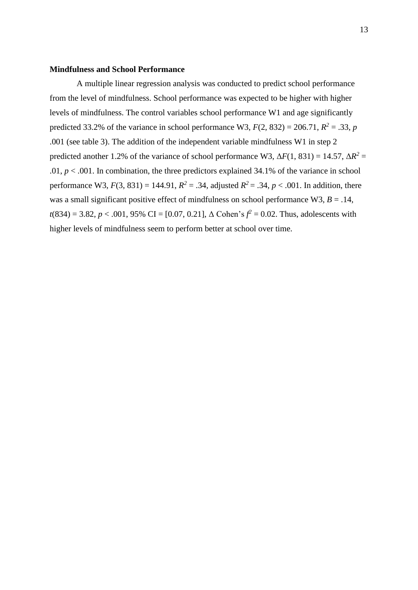### **Mindfulness and School Performance**

A multiple linear regression analysis was conducted to predict school performance from the level of mindfulness. School performance was expected to be higher with higher levels of mindfulness. The control variables school performance W1 and age significantly predicted 33.2% of the variance in school performance W3,  $F(2, 832) = 206.71$ ,  $R^2 = .33$ , *p* .001 (see table 3). The addition of the independent variable mindfulness W1 in step 2 predicted another 1.2% of the variance of school performance W3,  $\Delta F(1, 831) = 14.57$ ,  $\Delta R^2 =$ .01,  $p < .001$ . In combination, the three predictors explained 34.1% of the variance in school performance W3,  $F(3, 831) = 144.91$ ,  $R^2 = .34$ , adjusted  $R^2 = .34$ ,  $p < .001$ . In addition, there was a small significant positive effect of mindfulness on school performance W3,  $B = .14$ ,  $t(834) = 3.82, p < .001, 95\% \text{ CI} = [0.07, 0.21], \Delta \text{ Cohen's } f^2 = 0.02. \text{ Thus, adolescents with }$ higher levels of mindfulness seem to perform better at school over time.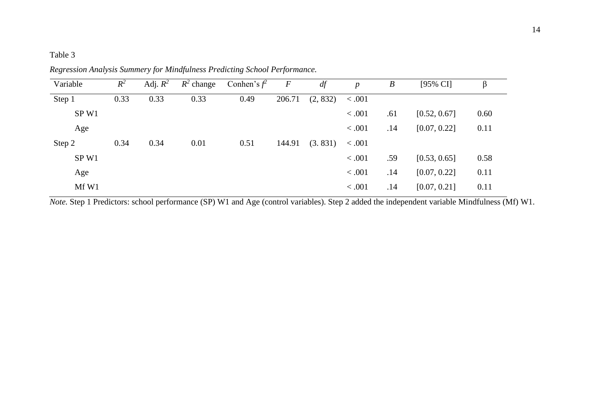# Table 3

| Variable         | $R^2$ | Adj. $R^2$ | $R^2$ change | Conhen's $f^2$ | $\boldsymbol{F}$ | df       | $\boldsymbol{p}$ | $\boldsymbol{B}$ | $[95\% \text{ CI}]$ | β    |
|------------------|-------|------------|--------------|----------------|------------------|----------|------------------|------------------|---------------------|------|
| Step 1           | 0.33  | 0.33       | 0.33         | 0.49           | 206.71           | (2, 832) | < .001           |                  |                     |      |
| SP <sub>W1</sub> |       |            |              |                |                  |          | < .001           | .61              | [0.52, 0.67]        | 0.60 |
| Age              |       |            |              |                |                  |          | < .001           | .14              | [0.07, 0.22]        | 0.11 |
| Step 2           | 0.34  | 0.34       | 0.01         | 0.51           | 144.91           | (3.831)  | < .001           |                  |                     |      |
| SP <sub>W1</sub> |       |            |              |                |                  |          | < .001           | .59              | [0.53, 0.65]        | 0.58 |
| Age              |       |            |              |                |                  |          | < .001           | .14              | [0.07, 0.22]        | 0.11 |
| Mf W1            |       |            |              |                |                  |          | < .001           | .14              | [0.07, 0.21]        | 0.11 |

*Regression Analysis Summery for Mindfulness Predicting School Performance.* 

*Note.* Step 1 Predictors: school performance (SP) W1 and Age (control variables). Step 2 added the independent variable Mindfulness (Mf) W1.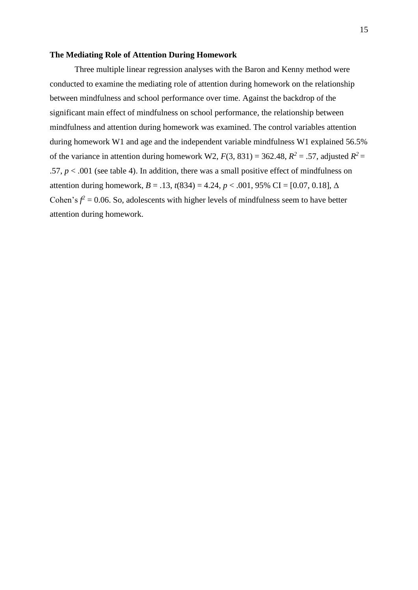### **The Mediating Role of Attention During Homework**

Three multiple linear regression analyses with the Baron and Kenny method were conducted to examine the mediating role of attention during homework on the relationship between mindfulness and school performance over time. Against the backdrop of the significant main effect of mindfulness on school performance, the relationship between mindfulness and attention during homework was examined. The control variables attention during homework W1 and age and the independent variable mindfulness W1 explained 56.5% of the variance in attention during homework W2,  $F(3, 831) = 362.48$ ,  $R^2 = .57$ , adjusted  $R^2 =$ .57,  $p < .001$  (see table 4). In addition, there was a small positive effect of mindfulness on attention during homework,  $B = .13$ ,  $t(834) = 4.24$ ,  $p < .001$ , 95% CI = [0.07, 0.18],  $\Delta$ Cohen's  $f^2 = 0.06$ . So, adolescents with higher levels of mindfulness seem to have better attention during homework.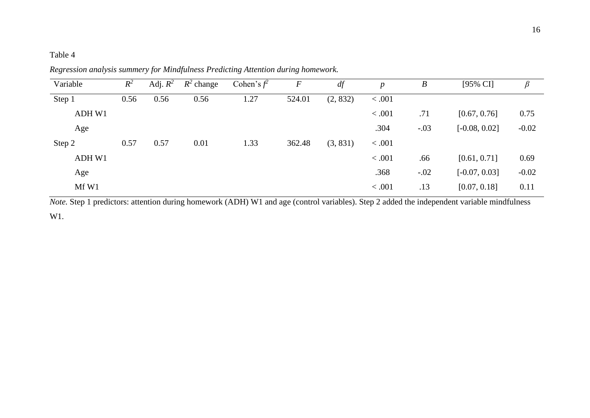# Table 4

| Variable | $R^2$ | Adj. $R^2$ | $R^2$ change | Cohen's $f^2$ | $\boldsymbol{F}$ | df       | $\boldsymbol{p}$ | $\boldsymbol{B}$ | [95% CI]        |         |
|----------|-------|------------|--------------|---------------|------------------|----------|------------------|------------------|-----------------|---------|
| Step 1   | 0.56  | 0.56       | 0.56         | 1.27          | 524.01           | (2, 832) | < .001           |                  |                 |         |
| ADH W1   |       |            |              |               |                  |          | < .001           | .71              | [0.67, 0.76]    | 0.75    |
| Age      |       |            |              |               |                  |          | .304             | $-.03$           | $[-0.08, 0.02]$ | $-0.02$ |
| Step 2   | 0.57  | 0.57       | 0.01         | 1.33          | 362.48           | (3, 831) | 0.001            |                  |                 |         |
| ADH W1   |       |            |              |               |                  |          | < .001           | .66              | [0.61, 0.71]    | 0.69    |
| Age      |       |            |              |               |                  |          | .368             | $-.02$           | $[-0.07, 0.03]$ | $-0.02$ |
| Mf W1    |       |            |              |               |                  |          | < .001           | .13              | [0.07, 0.18]    | 0.11    |

*Regression analysis summery for Mindfulness Predicting Attention during homework.* 

*Note.* Step 1 predictors: attention during homework (ADH) W1 and age (control variables). Step 2 added the independent variable mindfulness W1.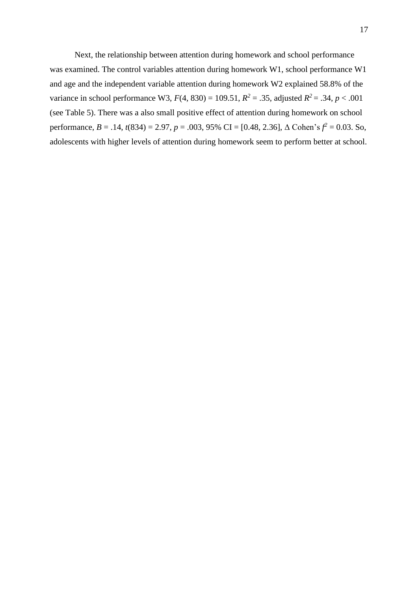Next, the relationship between attention during homework and school performance was examined. The control variables attention during homework W1, school performance W1 and age and the independent variable attention during homework W2 explained 58.8% of the variance in school performance W3,  $F(4, 830) = 109.51$ ,  $R^2 = .35$ , adjusted  $R^2 = .34$ ,  $p < .001$ (see Table 5). There was a also small positive effect of attention during homework on school performance,  $B = .14$ ,  $t(834) = 2.97$ ,  $p = .003$ ,  $95\%$  CI = [0.48, 2.36],  $\Delta$  Cohen's  $f^2 = 0.03$ . So, adolescents with higher levels of attention during homework seem to perform better at school.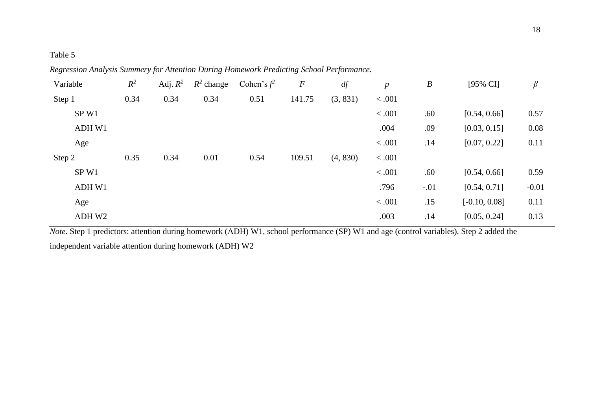# Table 5

Variable  $R^2$ <sup>2</sup> Adj.  $R^2$   $R^2$ Cohen's  $f^2$ *<sup>2</sup> F df p B* [95% CI] *β* Step 1 0.34 0.34 0.34 0.51 141.75 (3, 831) < .001 SP W1  $< .001$  .60  $[0.54, 0.66]$  0.57 ADH W1 .004 .09 [0.03, 0.15] 0.08 Age  $\leq .001$  .14 [0.07, 0.22] 0.11 Step 2 0.35 0.34 0.01 0.54 109.51 (4, 830) < .001 SP W1  $< .001$  .60  $[0.54, 0.66]$  0.59 ADH W1  $.796$   $.01$   $[0.54, 0.71]$   $-0.01$ Age  $\leq .001$  .15  $[-0.10, 0.08]$  0.11 ADH W2 .003 .14 [0.05, 0.24] 0.13

*Regression Analysis Summery for Attention During Homework Predicting School Performance.* 

*Note.* Step 1 predictors: attention during homework (ADH) W1, school performance (SP) W1 and age (control variables). Step 2 added the independent variable attention during homework (ADH) W2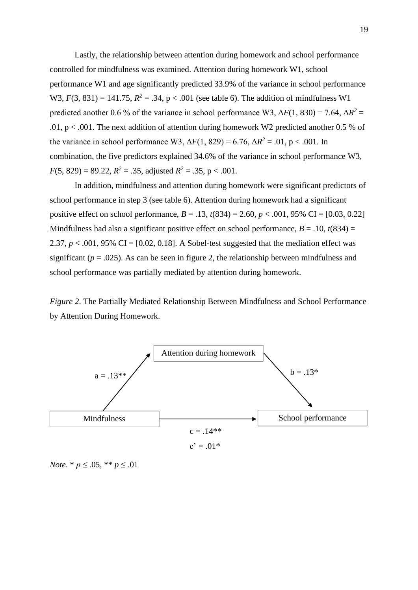Lastly, the relationship between attention during homework and school performance controlled for mindfulness was examined. Attention during homework W1, school performance W1 and age significantly predicted 33.9% of the variance in school performance W3,  $F(3, 831) = 141.75$ ,  $R^2 = .34$ ,  $p < .001$  (see table 6). The addition of mindfulness W1 predicted another 0.6 % of the variance in school performance W3,  $\Delta F(1, 830) = 7.64$ ,  $\Delta R^2 =$ .01,  $p < .001$ . The next addition of attention during homework W2 predicted another 0.5 % of the variance in school performance W3,  $\Delta F(1, 829) = 6.76$ ,  $\Delta R^2 = .01$ , p < .001. In combination, the five predictors explained 34.6% of the variance in school performance W3, *F*(5, 829) = 89.22,  $R^2 = .35$ , adjusted  $R^2 = .35$ , p < .001.

In addition, mindfulness and attention during homework were significant predictors of school performance in step 3 (see table 6). Attention during homework had a significant positive effect on school performance, *B* = .13, *t*(834) = 2.60, *p* < .001, 95% CI = [0.03, 0.22] Mindfulness had also a significant positive effect on school performance,  $B = .10$ ,  $t(834) =$ 2.37,  $p < .001$ , 95% CI = [0.02, 0.18]. A Sobel-test suggested that the mediation effect was significant ( $p = .025$ ). As can be seen in figure 2, the relationship between mindfulness and school performance was partially mediated by attention during homework.

*Figure 2*. The Partially Mediated Relationship Between Mindfulness and School Performance by Attention During Homework.



*Note*. \*  $p \leq .05$ , \*\*  $p \leq .01$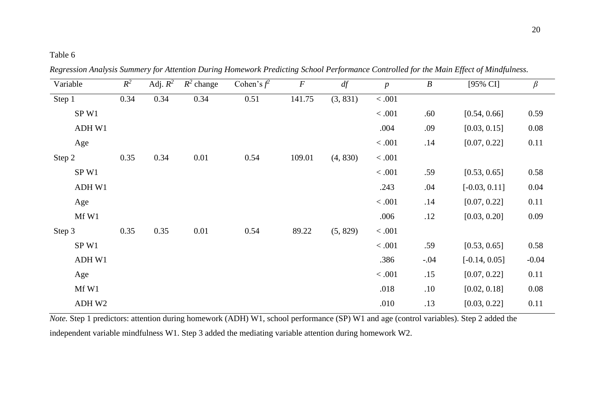# Table 6

| Variable         | $R^2$ | Adj. $R^2$ | $R^2$ change | Cohen's $f^2$ | $\boldsymbol{F}$ | df       | $\boldsymbol{p}$ | $\boldsymbol{B}$ | [95% CI]        | $\beta$ |
|------------------|-------|------------|--------------|---------------|------------------|----------|------------------|------------------|-----------------|---------|
| Step 1           | 0.34  | 0.34       | 0.34         | 0.51          | 141.75           | (3, 831) | $<.001$          |                  |                 |         |
| SP W1            |       |            |              |               |                  |          | < .001           | .60              | [0.54, 0.66]    | 0.59    |
| ADH W1           |       |            |              |               |                  |          | .004             | .09              | [0.03, 0.15]    | 0.08    |
| Age              |       |            |              |               |                  |          | $<.001$          | .14              | [0.07, 0.22]    | 0.11    |
| Step 2           | 0.35  | 0.34       | 0.01         | 0.54          | 109.01           | (4, 830) | $<.001$          |                  |                 |         |
| SP <sub>W1</sub> |       |            |              |               |                  |          | < .001           | .59              | [0.53, 0.65]    | 0.58    |
| ADH W1           |       |            |              |               |                  |          | .243             | .04              | $[-0.03, 0.11]$ | 0.04    |
| Age              |       |            |              |               |                  |          | $<.001$          | .14              | [0.07, 0.22]    | 0.11    |
| Mf W1            |       |            |              |               |                  |          | .006             | .12              | [0.03, 0.20]    | 0.09    |
| Step 3           | 0.35  | 0.35       | 0.01         | 0.54          | 89.22            | (5, 829) | < .001           |                  |                 |         |
| SP W1            |       |            |              |               |                  |          | < .001           | .59              | [0.53, 0.65]    | 0.58    |
| ADH W1           |       |            |              |               |                  |          | .386             | $-.04$           | $[-0.14, 0.05]$ | $-0.04$ |
| Age              |       |            |              |               |                  |          | $<.001$          | .15              | [0.07, 0.22]    | 0.11    |
| Mf W1            |       |            |              |               |                  |          | .018             | .10              | [0.02, 0.18]    | 0.08    |
| ADH W2           |       |            |              |               |                  |          | .010             | .13              | [0.03, 0.22]    | 0.11    |

*Regression Analysis Summery for Attention During Homework Predicting School Performance Controlled for the Main Effect of Mindfulness.* 

*Note.* Step 1 predictors: attention during homework (ADH) W1, school performance (SP) W1 and age (control variables). Step 2 added the independent variable mindfulness W1. Step 3 added the mediating variable attention during homework W2.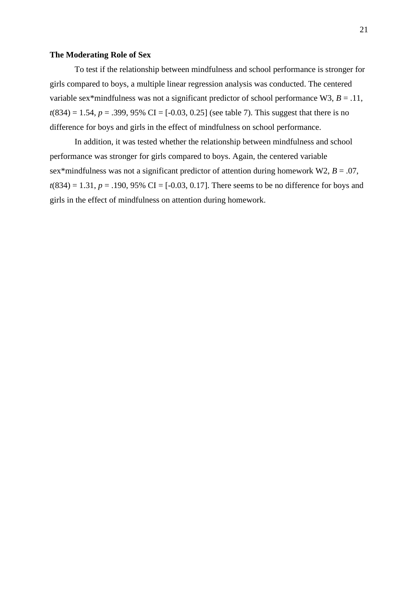### **The Moderating Role of Sex**

To test if the relationship between mindfulness and school performance is stronger for girls compared to boys, a multiple linear regression analysis was conducted. The centered variable sex\*mindfulness was not a significant predictor of school performance W3,  $B = .11$ ,  $t(834) = 1.54$ ,  $p = .399$ , 95% CI = [-0.03, 0.25] (see table 7). This suggest that there is no difference for boys and girls in the effect of mindfulness on school performance.

In addition, it was tested whether the relationship between mindfulness and school performance was stronger for girls compared to boys. Again, the centered variable sex\*mindfulness was not a significant predictor of attention during homework W2,  $B = .07$ ,  $t(834) = 1.31, p = .190, 95\% \text{ CI} = [-0.03, 0.17].$  There seems to be no difference for boys and girls in the effect of mindfulness on attention during homework.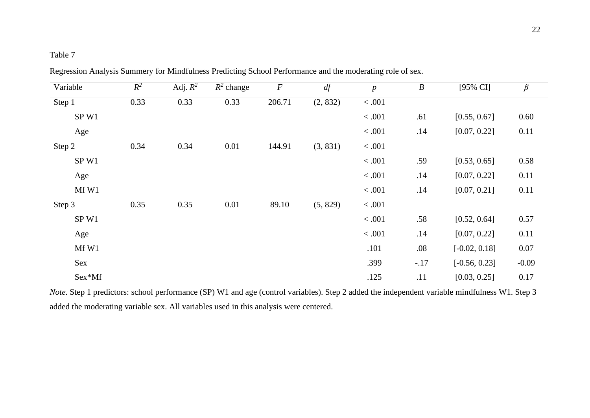# Table 7

| Variable | $R^2$ | Adj. $\overline{R^2}$ | $R^2$ change | $\boldsymbol{F}$ | df       | $\boldsymbol{p}$ | $\boldsymbol{B}$ | $[95\% \text{ CI}]$ | $\beta$  |
|----------|-------|-----------------------|--------------|------------------|----------|------------------|------------------|---------------------|----------|
| Step 1   | 0.33  | 0.33                  | 0.33         | 206.71           | (2, 832) | $<.001$          |                  |                     |          |
| SP W1    |       |                       |              |                  |          | < .001           | .61              | [0.55, 0.67]        | 0.60     |
| Age      |       |                       |              |                  |          | $<.001$          | .14              | [0.07, 0.22]        | 0.11     |
| Step 2   | 0.34  | 0.34                  | 0.01         | 144.91           | (3, 831) | < .001           |                  |                     |          |
| SP W1    |       |                       |              |                  |          | $<.001$          | .59              | [0.53, 0.65]        | 0.58     |
| Age      |       |                       |              |                  |          | < .001           | .14              | [0.07, 0.22]        | 0.11     |
| Mf W1    |       |                       |              |                  |          | < .001           | .14              | [0.07, 0.21]        | 0.11     |
| Step 3   | 0.35  | 0.35                  | 0.01         | 89.10            | (5, 829) | $<.001$          |                  |                     |          |
| SP W1    |       |                       |              |                  |          | < .001           | .58              | [0.52, 0.64]        | 0.57     |
| Age      |       |                       |              |                  |          | $<.001$          | .14              | [0.07, 0.22]        | 0.11     |
| Mf W1    |       |                       |              |                  |          | .101             | .08              | $[-0.02, 0.18]$     | $0.07\,$ |
| Sex      |       |                       |              |                  |          | .399             | $-.17$           | $[-0.56, 0.23]$     | $-0.09$  |
| Sex*Mf   |       |                       |              |                  |          | .125             | .11              | [0.03, 0.25]        | 0.17     |

Regression Analysis Summery for Mindfulness Predicting School Performance and the moderating role of sex.

*Note.* Step 1 predictors: school performance (SP) W1 and age (control variables). Step 2 added the independent variable mindfulness W1. Step 3 added the moderating variable sex. All variables used in this analysis were centered.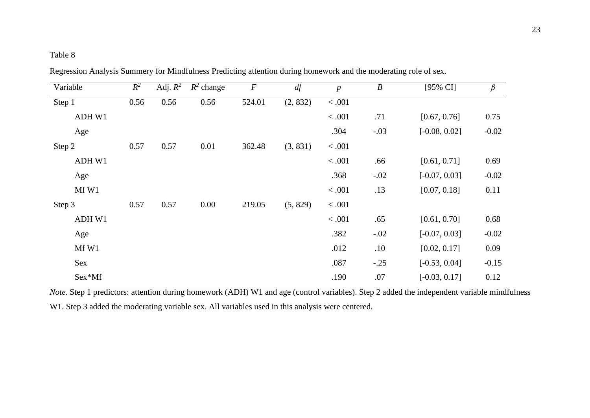# Table 8

| Variable | $R^2$ | Adj. $R^2$ | $R^2$ change | $\boldsymbol{F}$ | df       | $\boldsymbol{p}$ | $\boldsymbol{B}$ | $[95\% \text{ CI}]$ | $\beta$ |
|----------|-------|------------|--------------|------------------|----------|------------------|------------------|---------------------|---------|
| Step 1   | 0.56  | 0.56       | 0.56         | 524.01           | (2, 832) | < .001           |                  |                     |         |
| ADH W1   |       |            |              |                  |          | < .001           | .71              | [0.67, 0.76]        | 0.75    |
| Age      |       |            |              |                  |          | .304             | $-.03$           | $[-0.08, 0.02]$     | $-0.02$ |
| Step 2   | 0.57  | 0.57       | 0.01         | 362.48           | (3, 831) | < .001           |                  |                     |         |
| ADH W1   |       |            |              |                  |          | < .001           | .66              | [0.61, 0.71]        | 0.69    |
| Age      |       |            |              |                  |          | .368             | $-.02$           | $[-0.07, 0.03]$     | $-0.02$ |
| Mf W1    |       |            |              |                  |          | $<.001$          | .13              | [0.07, 0.18]        | 0.11    |
| Step 3   | 0.57  | 0.57       | 0.00         | 219.05           | (5, 829) | < .001           |                  |                     |         |
| ADH W1   |       |            |              |                  |          | < .001           | .65              | [0.61, 0.70]        | 0.68    |
| Age      |       |            |              |                  |          | .382             | $-.02$           | $[-0.07, 0.03]$     | $-0.02$ |
| Mf W1    |       |            |              |                  |          | .012             | .10              | [0.02, 0.17]        | 0.09    |
| Sex      |       |            |              |                  |          | .087             | $-.25$           | $[-0.53, 0.04]$     | $-0.15$ |
| Sex*Mf   |       |            |              |                  |          | .190             | .07              | $[-0.03, 0.17]$     | 0.12    |

Regression Analysis Summery for Mindfulness Predicting attention during homework and the moderating role of sex.

*Note*. Step 1 predictors: attention during homework (ADH) W1 and age (control variables). Step 2 added the independent variable mindfulness W1. Step 3 added the moderating variable sex. All variables used in this analysis were centered.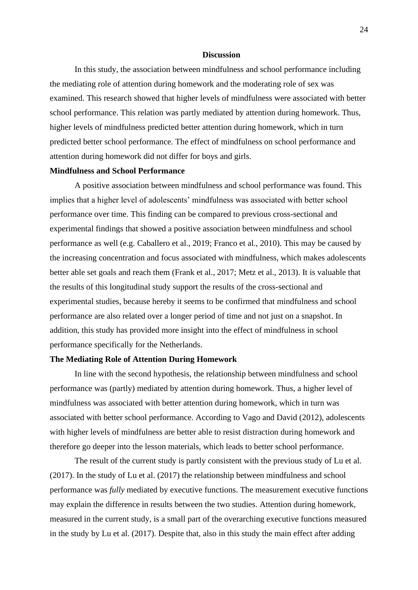### **Discussion**

In this study, the association between mindfulness and school performance including the mediating role of attention during homework and the moderating role of sex was examined. This research showed that higher levels of mindfulness were associated with better school performance. This relation was partly mediated by attention during homework. Thus, higher levels of mindfulness predicted better attention during homework, which in turn predicted better school performance. The effect of mindfulness on school performance and attention during homework did not differ for boys and girls.

### **Mindfulness and School Performance**

A positive association between mindfulness and school performance was found. This implies that a higher level of adolescents' mindfulness was associated with better school performance over time. This finding can be compared to previous cross-sectional and experimental findings that showed a positive association between mindfulness and school performance as well (e.g. Caballero et al., 2019; Franco et al., 2010). This may be caused by the increasing concentration and focus associated with mindfulness, which makes adolescents better able set goals and reach them (Frank et al., 2017; Metz et al., 2013). It is valuable that the results of this longitudinal study support the results of the cross-sectional and experimental studies, because hereby it seems to be confirmed that mindfulness and school performance are also related over a longer period of time and not just on a snapshot. In addition, this study has provided more insight into the effect of mindfulness in school performance specifically for the Netherlands.

### **The Mediating Role of Attention During Homework**

In line with the second hypothesis, the relationship between mindfulness and school performance was (partly) mediated by attention during homework. Thus, a higher level of mindfulness was associated with better attention during homework, which in turn was associated with better school performance. According to Vago and David (2012), adolescents with higher levels of mindfulness are better able to resist distraction during homework and therefore go deeper into the lesson materials, which leads to better school performance.

The result of the current study is partly consistent with the previous study of Lu et al. (2017). In the study of Lu et al. (2017) the relationship between mindfulness and school performance was *fully* mediated by executive functions. The measurement executive functions may explain the difference in results between the two studies. Attention during homework, measured in the current study, is a small part of the overarching executive functions measured in the study by Lu et al. (2017). Despite that, also in this study the main effect after adding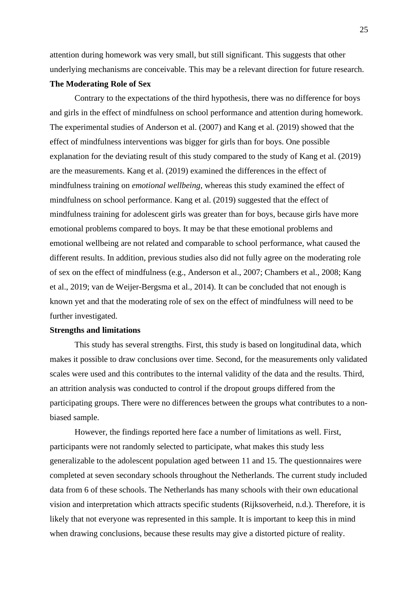attention during homework was very small, but still significant. This suggests that other underlying mechanisms are conceivable. This may be a relevant direction for future research.

### **The Moderating Role of Sex**

Contrary to the expectations of the third hypothesis, there was no difference for boys and girls in the effect of mindfulness on school performance and attention during homework. The experimental studies of Anderson et al. (2007) and Kang et al. (2019) showed that the effect of mindfulness interventions was bigger for girls than for boys. One possible explanation for the deviating result of this study compared to the study of Kang et al. (2019) are the measurements. Kang et al. (2019) examined the differences in the effect of mindfulness training on *emotional wellbeing*, whereas this study examined the effect of mindfulness on school performance. Kang et al. (2019) suggested that the effect of mindfulness training for adolescent girls was greater than for boys, because girls have more emotional problems compared to boys. It may be that these emotional problems and emotional wellbeing are not related and comparable to school performance, what caused the different results. In addition, previous studies also did not fully agree on the moderating role of sex on the effect of mindfulness (e.g., Anderson et al., 2007; Chambers et al., 2008; Kang et al., 2019; van de Weijer-Bergsma et al., 2014). It can be concluded that not enough is known yet and that the moderating role of sex on the effect of mindfulness will need to be further investigated.

#### **Strengths and limitations**

This study has several strengths. First, this study is based on longitudinal data, which makes it possible to draw conclusions over time. Second, for the measurements only validated scales were used and this contributes to the internal validity of the data and the results. Third, an attrition analysis was conducted to control if the dropout groups differed from the participating groups. There were no differences between the groups what contributes to a nonbiased sample.

However, the findings reported here face a number of limitations as well. First, participants were not randomly selected to participate, what makes this study less generalizable to the adolescent population aged between 11 and 15. The questionnaires were completed at seven secondary schools throughout the Netherlands. The current study included data from 6 of these schools. The Netherlands has many schools with their own educational vision and interpretation which attracts specific students (Rijksoverheid, n.d.). Therefore, it is likely that not everyone was represented in this sample. It is important to keep this in mind when drawing conclusions, because these results may give a distorted picture of reality.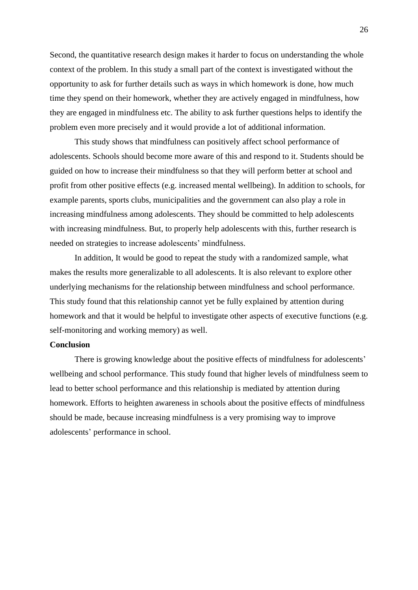Second, the quantitative research design makes it harder to focus on understanding the whole context of the problem. In this study a small part of the context is investigated without the opportunity to ask for further details such as ways in which homework is done, how much time they spend on their homework, whether they are actively engaged in mindfulness, how they are engaged in mindfulness etc. The ability to ask further questions helps to identify the problem even more precisely and it would provide a lot of additional information.

This study shows that mindfulness can positively affect school performance of adolescents. Schools should become more aware of this and respond to it. Students should be guided on how to increase their mindfulness so that they will perform better at school and profit from other positive effects (e.g. increased mental wellbeing). In addition to schools, for example parents, sports clubs, municipalities and the government can also play a role in increasing mindfulness among adolescents. They should be committed to help adolescents with increasing mindfulness. But, to properly help adolescents with this, further research is needed on strategies to increase adolescents' mindfulness.

In addition, It would be good to repeat the study with a randomized sample, what makes the results more generalizable to all adolescents. It is also relevant to explore other underlying mechanisms for the relationship between mindfulness and school performance. This study found that this relationship cannot yet be fully explained by attention during homework and that it would be helpful to investigate other aspects of executive functions (e.g. self-monitoring and working memory) as well.

### **Conclusion**

There is growing knowledge about the positive effects of mindfulness for adolescents' wellbeing and school performance. This study found that higher levels of mindfulness seem to lead to better school performance and this relationship is mediated by attention during homework. Efforts to heighten awareness in schools about the positive effects of mindfulness should be made, because increasing mindfulness is a very promising way to improve adolescents' performance in school.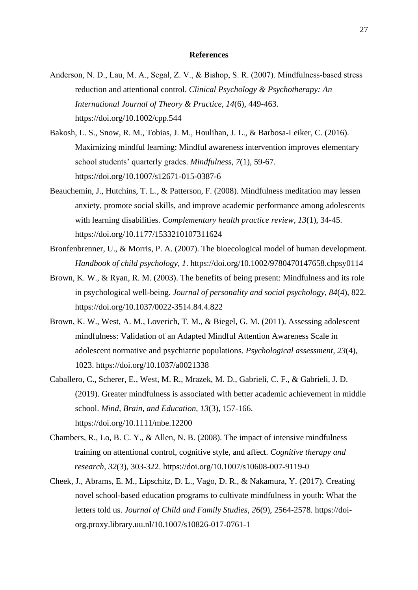### **References**

- Anderson, N. D., Lau, M. A., Segal, Z. V., & Bishop, S. R. (2007). Mindfulness-based stress reduction and attentional control. *Clinical Psychology & Psychotherapy: An International Journal of Theory & Practice, 14*(6), 449-463. <https://doi.org/10.1002/cpp.544>
- Bakosh, L. S., Snow, R. M., Tobias, J. M., Houlihan, J. L., & Barbosa-Leiker, C. (2016). Maximizing mindful learning: Mindful awareness intervention improves elementary school students' quarterly grades. *Mindfulness, 7*(1), 59-67. <https://doi.org/10.1007/s12671-015-0387-6>
- Beauchemin, J., Hutchins, T. L., & Patterson, F. (2008). Mindfulness meditation may lessen anxiety, promote social skills, and improve academic performance among adolescents with learning disabilities. *Complementary health practice review, 13*(1), 34-45. <https://doi.org/10.1177/1533210107311624>
- Bronfenbrenner, U., & Morris, P. A. (2007). The bioecological model of human development. *Handbook of child psychology, 1*.<https://doi.org/10.1002/9780470147658.chpsy0114>
- Brown, K. W., & Ryan, R. M. (2003). The benefits of being present: Mindfulness and its role in psychological well-being. *Journal of personality and social psychology, 84*(4), 822. <https://doi.org/10.1037/0022-3514.84.4.822>
- Brown, K. W., West, A. M., Loverich, T. M., & Biegel, G. M. (2011). Assessing adolescent mindfulness: Validation of an Adapted Mindful Attention Awareness Scale in adolescent normative and psychiatric populations. *Psychological assessment, 23*(4), 1023.<https://doi.org/10.1037/a0021338>
- Caballero, C., Scherer, E., West, M. R., Mrazek, M. D., Gabrieli, C. F., & Gabrieli, J. D. (2019). Greater mindfulness is associated with better academic achievement in middle school. *Mind, Brain, and Education, 13*(3), 157-166. <https://doi.org/10.1111/mbe.12200>
- Chambers, R., Lo, B. C. Y., & Allen, N. B. (2008). The impact of intensive mindfulness training on attentional control, cognitive style, and affect. *Cognitive therapy and research*, *32*(3), 303-322. <https://doi.org/10.1007/s10608-007-9119-0>
- Cheek, J., Abrams, E. M., Lipschitz, D. L., Vago, D. R., & Nakamura, Y. (2017). Creating novel school-based education programs to cultivate mindfulness in youth: What the letters told us. *Journal of Child and Family Studies*, *26*(9), 2564-2578. [https://doi](https://doi-org.proxy.library.uu.nl/10.1007/s10826-017-0761-1)[org.proxy.library.uu.nl/10.1007/s10826-017-0761-1](https://doi-org.proxy.library.uu.nl/10.1007/s10826-017-0761-1)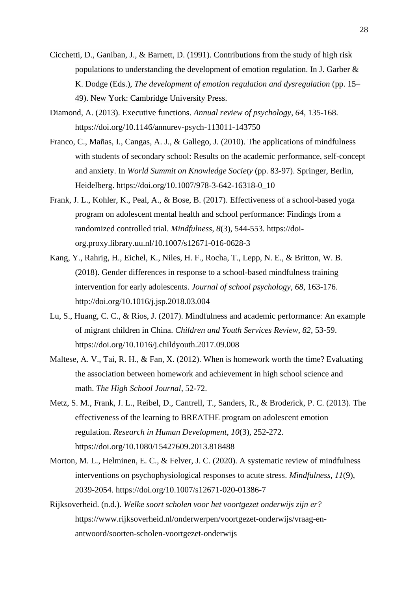- Cicchetti, D., Ganiban, J., & Barnett, D. (1991). Contributions from the study of high risk populations to understanding the development of emotion regulation. In J. Garber & K. Dodge (Eds.), *The development of emotion regulation and dysregulation* (pp. 15– 49). New York: Cambridge University Press.
- Diamond, A. (2013). Executive functions. *Annual review of psychology*, *64*, 135-168. https://doi.org/10.1146/annurev-psych-113011-143750
- Franco, C., Mañas, I., Cangas, A. J., & Gallego, J. (2010). The applications of mindfulness with students of secondary school: Results on the academic performance, self-concept and anxiety. In *World Summit on Knowledge Society* (pp. 83-97). Springer, Berlin, Heidelberg. [https://doi.org/10.1007/978-3-642-16318-0\\_10](https://doi.org/10.1007/978-3-642-16318-0_10)
- Frank, J. L., Kohler, K., Peal, A., & Bose, B. (2017). Effectiveness of a school-based yoga program on adolescent mental health and school performance: Findings from a randomized controlled trial. *Mindfulness*, *8*(3), 544-553. [https://doi](https://doi-org.proxy.library.uu.nl/10.1007/s12671-016-0628-3)[org.proxy.library.uu.nl/10.1007/s12671-016-0628-3](https://doi-org.proxy.library.uu.nl/10.1007/s12671-016-0628-3)
- Kang, Y., Rahrig, H., Eichel, K., Niles, H. F., Rocha, T., Lepp, N. E., & Britton, W. B. (2018). Gender differences in response to a school-based mindfulness training intervention for early adolescents. *Journal of school psychology, 68*, 163-176. <http://doi.org/10.1016/j.jsp.2018.03.004>
- Lu, S., Huang, C. C., & Rios, J. (2017). Mindfulness and academic performance: An example of migrant children in China. *Children and Youth Services Review, 82*, 53-59. <https://doi.org/10.1016/j.childyouth.2017.09.008>
- Maltese, A. V., Tai, R. H., & Fan, X. (2012). When is homework worth the time? Evaluating the association between homework and achievement in high school science and math. *The High School Journal*, 52-72.
- Metz, S. M., Frank, J. L., Reibel, D., Cantrell, T., Sanders, R., & Broderick, P. C. (2013). The effectiveness of the learning to BREATHE program on adolescent emotion regulation. *Research in Human Development*, *10*(3), 252-272. <https://doi.org/10.1080/15427609.2013.818488>
- Morton, M. L., Helminen, E. C., & Felver, J. C. (2020). A systematic review of mindfulness interventions on psychophysiological responses to acute stress. *Mindfulness, 11*(9), 2039-2054.<https://doi.org/10.1007/s12671-020-01386-7>
- Rijksoverheid. (n.d.). *Welke soort scholen voor het voortgezet onderwijs zijn er?* https://www.rijksoverheid.nl/onderwerpen/voortgezet-onderwijs/vraag-enantwoord/soorten-scholen-voortgezet-onderwijs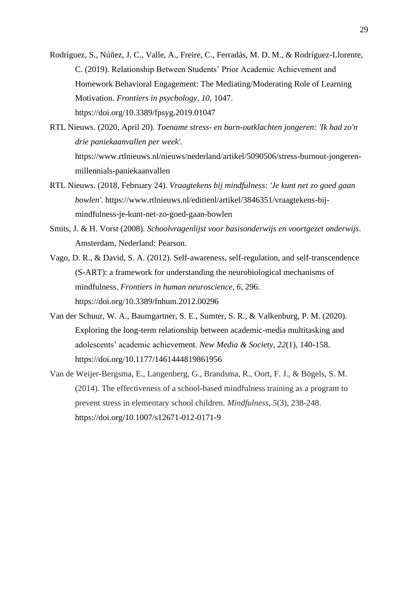- Rodríguez, S., Núñez, J. C., Valle, A., Freire, C., Ferradás, M. D. M., & Rodríguez-Llorente, C. (2019). Relationship Between Students' Prior Academic Achievement and Homework Behavioral Engagement: The Mediating/Moderating Role of Learning Motivation. *Frontiers in psychology, 10*, 1047. <https://doi.org/10.3389/fpsyg.2019.01047>
- RTL Nieuws. (2020, April 20). *Toename stress- en burn-outklachten jongeren: 'Ik had zo'n drie paniekaanvallen per week'.* [https://www.rtlnieuws.nl/nieuws/nederland/artikel/5090506/stress-burnout-jongeren](https://www.rtlnieuws.nl/nieuws/nederland/artikel/5090506/stress-burnout-jongeren-millennials-paniekaanvallen)[millennials-paniekaanvallen](https://www.rtlnieuws.nl/nieuws/nederland/artikel/5090506/stress-burnout-jongeren-millennials-paniekaanvallen)
- RTL Nieuws. (2018, February 24). *Vraagtekens bij mindfulness: 'Je kunt net zo goed gaan bowlen'*. [https://www.rtlnieuws.nl/editienl/artikel/3846351/vraagtekens-bij](https://www.rtlnieuws.nl/editienl/artikel/3846351/vraagtekens-bij-mindfulness-je-kunt-net-zo-goed-gaan-bowlen)[mindfulness-je-kunt-net-zo-goed-gaan-bowlen](https://www.rtlnieuws.nl/editienl/artikel/3846351/vraagtekens-bij-mindfulness-je-kunt-net-zo-goed-gaan-bowlen)
- Smits, J. & H. Vorst (2008). *Schoolvragenlijst voor basisonderwijs en voortgezet onderwijs*. Amsterdam, Nederland: Pearson.
- Vago, D. R., & David, S. A. (2012). Self-awareness, self-regulation, and self-transcendence (S-ART): a framework for understanding the neurobiological mechanisms of mindfulness. *Frontiers in human neuroscience, 6*, 296. <https://doi.org/10.3389/fnhum.2012.00296>
- Van der Schuur, W. A., Baumgartner, S. E., Sumter, S. R., & Valkenburg, P. M. (2020). Exploring the long-term relationship between academic-media multitasking and adolescents' academic achievement. *New Media & Society, 22*(1), 140-158. <https://doi.org/10.1177/1461444819861956>
- Van de Weijer-Bergsma, E., Langenberg, G., Brandsma, R., Oort, F. J., & Bögels, S. M. (2014). The effectiveness of a school-based mindfulness training as a program to prevent stress in elementary school children. *Mindfulness*, *5*(3), 238-248. <https://doi.org/10.1007/s12671-012-0171-9>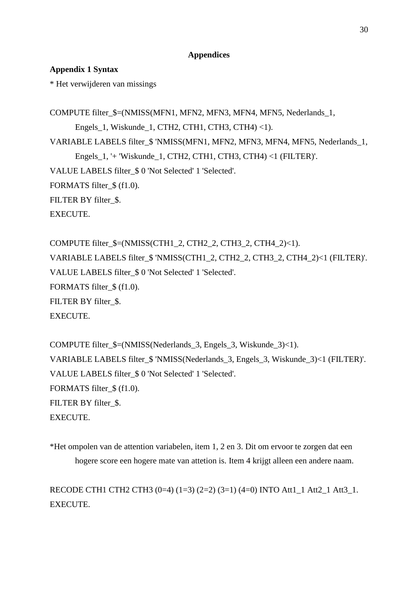## **Appendices**

# **Appendix 1 Syntax**

\* Het verwijderen van missings

COMPUTE filter  $$=(NMISS(MFN1, MFN2, MFN3, MFN4, MFN5, Nederlands 1,$ Engels\_1, Wiskunde\_1, CTH2, CTH1, CTH3, CTH4) <1). VARIABLE LABELS filter\_\$ 'NMISS(MFN1, MFN2, MFN3, MFN4, MFN5, Nederlands\_1, Engels\_1, '+ 'Wiskunde\_1, CTH2, CTH1, CTH3, CTH4) <1 (FILTER)'. VALUE LABELS filter\_\$ 0 'Not Selected' 1 'Selected'. FORMATS filter\_\$ (f1.0). FILTER BY filter \$. EXECUTE.

COMPUTE filter  $$=(NMISS(CTH1 2, CTH2 2, CTH3 2, CTH4 2)\lt1).$ VARIABLE LABELS filter\_\$ 'NMISS(CTH1\_2, CTH2\_2, CTH3\_2, CTH4\_2)<1 (FILTER)'. VALUE LABELS filter\_\$ 0 'Not Selected' 1 'Selected'. FORMATS filter\_\$ (f1.0). FILTER BY filter\_\$. EXECUTE.

COMPUTE filter\_\$=(NMISS(Nederlands\_3, Engels\_3, Wiskunde\_3)<1). VARIABLE LABELS filter\_\$ 'NMISS(Nederlands\_3, Engels\_3, Wiskunde\_3)<1 (FILTER)'. VALUE LABELS filter\_\$ 0 'Not Selected' 1 'Selected'. FORMATS filter  $$ (f1.0).$ FILTER BY filter \$. EXECUTE.

\*Het ompolen van de attention variabelen, item 1, 2 en 3. Dit om ervoor te zorgen dat een hogere score een hogere mate van attetion is. Item 4 krijgt alleen een andere naam.

RECODE CTH1 CTH2 CTH3 (0=4) (1=3) (2=2) (3=1) (4=0) INTO Att1\_1 Att2\_1 Att3\_1. **EXECUTE**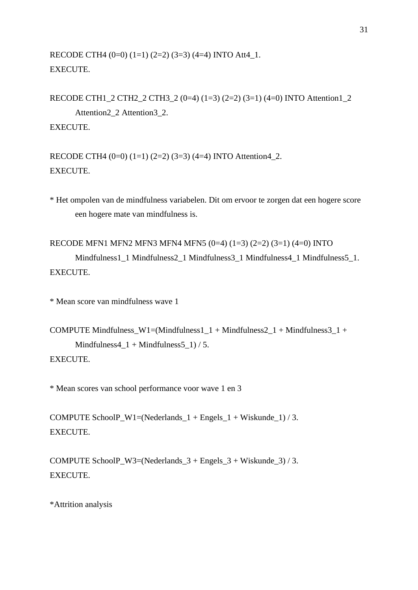RECODE CTH4  $(0=0)$   $(1=1)$   $(2=2)$   $(3=3)$   $(4=4)$  INTO Att4 1. EXECUTE.

RECODE CTH1\_2 CTH2\_2 CTH3\_2 (0=4) (1=3) (2=2) (3=1) (4=0) INTO Attention1\_2

Attention2\_2 Attention3\_2. EXECUTE.

RECODE CTH4  $(0=0)$   $(1=1)$   $(2=2)$   $(3=3)$   $(4=4)$  INTO Attention4\_2. EXECUTE.

\* Het ompolen van de mindfulness variabelen. Dit om ervoor te zorgen dat een hogere score een hogere mate van mindfulness is.

```
RECODE MFN1 MFN2 MFN3 MFN4 MFN5 (0=4) (1=3) (2=2) (3=1) (4=0) INTO 
      Mindfulness1_1 Mindfulness2_1 Mindfulness3_1 Mindfulness4_1 Mindfulness5_1.
EXECUTE.
```
\* Mean score van mindfulness wave 1

```
COMPUTE Mindfulness_W1=(Mindfulness1_1 + Mindfulness2_1 + Mindfulness3_1 +
      Mindfulness4_1 + Mindfulness5_1) / 5.
EXECUTE.
```
\* Mean scores van school performance voor wave 1 en 3

COMPUTE SchoolP\_W1=(Nederlands\_1 + Engels\_1 + Wiskunde\_1) / 3. EXECUTE.

COMPUTE SchoolP\_W3=(Nederlands\_ $3 +$  Engels\_ $3 +$ Wiskunde\_ $3)$  / 3. EXECUTE.

\*Attrition analysis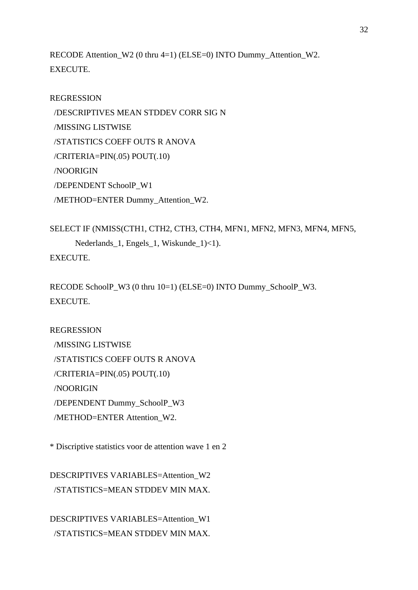RECODE Attention W2 (0 thru 4=1) (ELSE=0) INTO Dummy Attention W2. EXECUTE.

# REGRESSION

 /DESCRIPTIVES MEAN STDDEV CORR SIG N /MISSING LISTWISE /STATISTICS COEFF OUTS R ANOVA /CRITERIA=PIN(.05) POUT(.10) /NOORIGIN /DEPENDENT SchoolP\_W1 /METHOD=ENTER Dummy\_Attention\_W2.

```
SELECT IF (NMISS(CTH1, CTH2, CTH3, CTH4, MFN1, MFN2, MFN3, MFN4, MFN5, 
      Nederlands 1, Engels 1, Wiskunde 1)<1).
EXECUTE.
```

```
RECODE SchoolP_W3 (0 thru 10=1) (ELSE=0) INTO Dummy_SchoolP_W3.
EXECUTE.
```
# REGRESSION

 /MISSING LISTWISE /STATISTICS COEFF OUTS R ANOVA /CRITERIA=PIN(.05) POUT(.10) /NOORIGIN /DEPENDENT Dummy\_SchoolP\_W3 /METHOD=ENTER Attention\_W2.

\* Discriptive statistics voor de attention wave 1 en 2

DESCRIPTIVES VARIABLES=Attention\_W2 /STATISTICS=MEAN STDDEV MIN MAX.

DESCRIPTIVES VARIABLES=Attention\_W1 /STATISTICS=MEAN STDDEV MIN MAX.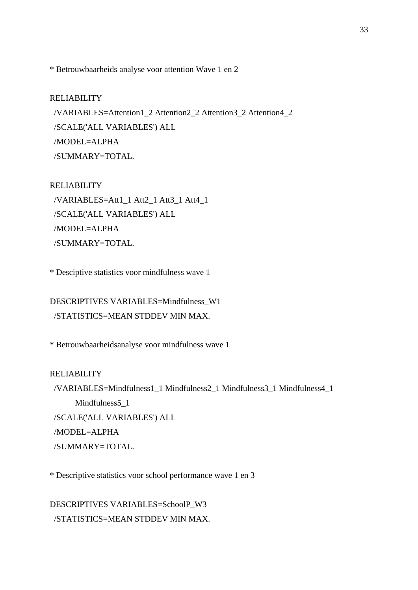\* Betrouwbaarheids analyse voor attention Wave 1 en 2

## RELIABILITY

 /VARIABLES=Attention1\_2 Attention2\_2 Attention3\_2 Attention4\_2 /SCALE('ALL VARIABLES') ALL /MODEL=ALPHA /SUMMARY=TOTAL.

## RELIABILITY

 /VARIABLES=Att1\_1 Att2\_1 Att3\_1 Att4\_1 /SCALE('ALL VARIABLES') ALL /MODEL=ALPHA /SUMMARY=TOTAL.

\* Desciptive statistics voor mindfulness wave 1

DESCRIPTIVES VARIABLES=Mindfulness\_W1 /STATISTICS=MEAN STDDEV MIN MAX.

\* Betrouwbaarheidsanalyse voor mindfulness wave 1

## RELIABILITY

 /VARIABLES=Mindfulness1\_1 Mindfulness2\_1 Mindfulness3\_1 Mindfulness4\_1 Mindfulness<sub>5</sub>\_1 /SCALE('ALL VARIABLES') ALL /MODEL=ALPHA /SUMMARY=TOTAL.

\* Descriptive statistics voor school performance wave 1 en 3

DESCRIPTIVES VARIABLES=SchoolP\_W3 /STATISTICS=MEAN STDDEV MIN MAX.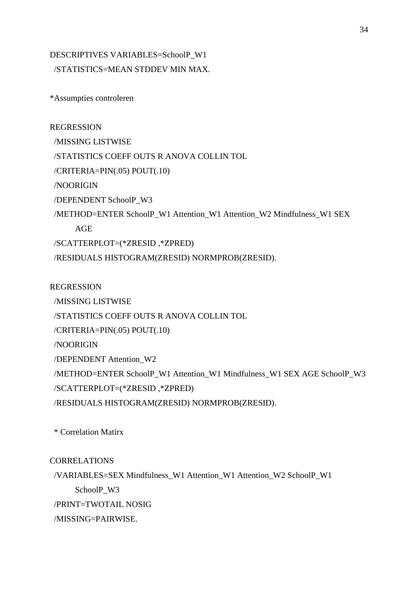# DESCRIPTIVES VARIABLES=SchoolP\_W1 /STATISTICS=MEAN STDDEV MIN MAX.

\*Assumpties controleren

REGRESSION /MISSING LISTWISE /STATISTICS COEFF OUTS R ANOVA COLLIN TOL /CRITERIA=PIN(.05) POUT(.10) /NOORIGIN /DEPENDENT SchoolP\_W3 /METHOD=ENTER SchoolP\_W1 Attention\_W1 Attention\_W2 Mindfulness\_W1 SEX AGE /SCATTERPLOT=(\*ZRESID ,\*ZPRED) /RESIDUALS HISTOGRAM(ZRESID) NORMPROB(ZRESID).

REGRESSION /MISSING LISTWISE /STATISTICS COEFF OUTS R ANOVA COLLIN TOL /CRITERIA=PIN(.05) POUT(.10) /NOORIGIN /DEPENDENT Attention\_W2 /METHOD=ENTER SchoolP\_W1 Attention\_W1 Mindfulness\_W1 SEX AGE SchoolP\_W3 /SCATTERPLOT=(\*ZRESID ,\*ZPRED) /RESIDUALS HISTOGRAM(ZRESID) NORMPROB(ZRESID).

\* Correlation Matirx

**CORRELATIONS** 

 /VARIABLES=SEX Mindfulness\_W1 Attention\_W1 Attention\_W2 SchoolP\_W1 SchoolP\_W3 /PRINT=TWOTAIL NOSIG /MISSING=PAIRWISE.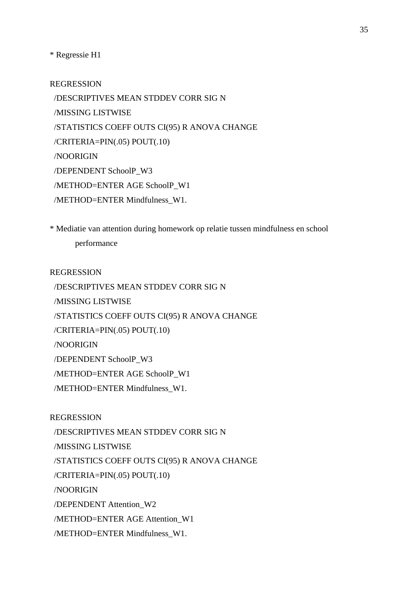\* Regressie H1

REGRESSION

 /DESCRIPTIVES MEAN STDDEV CORR SIG N /MISSING LISTWISE /STATISTICS COEFF OUTS CI(95) R ANOVA CHANGE /CRITERIA=PIN(.05) POUT(.10) /NOORIGIN /DEPENDENT SchoolP\_W3 /METHOD=ENTER AGE SchoolP\_W1 /METHOD=ENTER Mindfulness\_W1.

\* Mediatie van attention during homework op relatie tussen mindfulness en school performance

REGRESSION

/DESCRIPTIVES MEAN STDDEV CORR SIG N

/MISSING LISTWISE

/STATISTICS COEFF OUTS CI(95) R ANOVA CHANGE

/CRITERIA=PIN(.05) POUT(.10)

/NOORIGIN

/DEPENDENT SchoolP\_W3

/METHOD=ENTER AGE SchoolP\_W1

/METHOD=ENTER Mindfulness\_W1.

REGRESSION

/DESCRIPTIVES MEAN STDDEV CORR SIG N

/MISSING LISTWISE

/STATISTICS COEFF OUTS CI(95) R ANOVA CHANGE

/CRITERIA=PIN(.05) POUT(.10)

/NOORIGIN

/DEPENDENT Attention\_W2

/METHOD=ENTER AGE Attention\_W1

/METHOD=ENTER Mindfulness\_W1.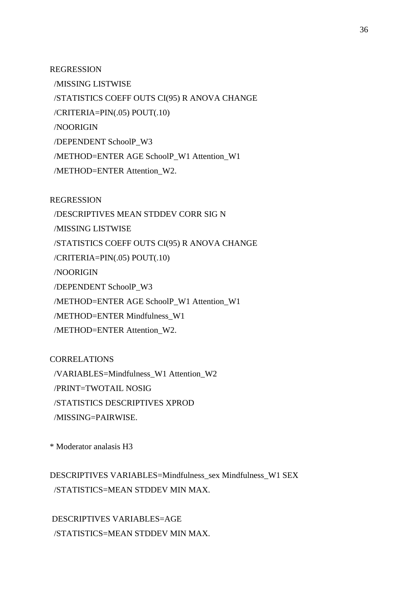REGRESSION

 /MISSING LISTWISE /STATISTICS COEFF OUTS CI(95) R ANOVA CHANGE /CRITERIA=PIN(.05) POUT(.10) /NOORIGIN /DEPENDENT SchoolP\_W3 /METHOD=ENTER AGE SchoolP\_W1 Attention\_W1 /METHOD=ENTER Attention\_W2.

REGRESSION

/DESCRIPTIVES MEAN STDDEV CORR SIG N

/MISSING LISTWISE

/STATISTICS COEFF OUTS CI(95) R ANOVA CHANGE

/CRITERIA=PIN(.05) POUT(.10)

/NOORIGIN

/DEPENDENT SchoolP\_W3

/METHOD=ENTER AGE SchoolP\_W1 Attention\_W1

/METHOD=ENTER Mindfulness\_W1

/METHOD=ENTER Attention\_W2.

CORRELATIONS

/VARIABLES=Mindfulness\_W1 Attention\_W2

/PRINT=TWOTAIL NOSIG

/STATISTICS DESCRIPTIVES XPROD

/MISSING=PAIRWISE.

\* Moderator analasis H3

DESCRIPTIVES VARIABLES=Mindfulness\_sex Mindfulness\_W1 SEX /STATISTICS=MEAN STDDEV MIN MAX.

DESCRIPTIVES VARIABLES=AGE /STATISTICS=MEAN STDDEV MIN MAX.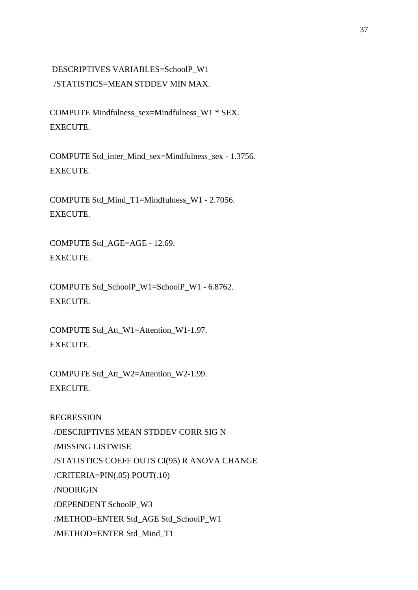# DESCRIPTIVES VARIABLES=SchoolP\_W1 /STATISTICS=MEAN STDDEV MIN MAX.

COMPUTE Mindfulness\_sex=Mindfulness\_W1 \* SEX. EXECUTE.

COMPUTE Std\_inter\_Mind\_sex=Mindfulness\_sex - 1.3756. EXECUTE.

COMPUTE Std\_Mind\_T1=Mindfulness\_W1 - 2.7056. EXECUTE.

COMPUTE Std\_AGE=AGE - 12.69. EXECUTE.

COMPUTE Std\_SchoolP\_W1=SchoolP\_W1 - 6.8762. EXECUTE.

COMPUTE Std\_Att\_W1=Attention\_W1-1.97. EXECUTE.

COMPUTE Std\_Att\_W2=Attention\_W2-1.99. EXECUTE.

REGRESSION /DESCRIPTIVES MEAN STDDEV CORR SIG N /MISSING LISTWISE /STATISTICS COEFF OUTS CI(95) R ANOVA CHANGE /CRITERIA=PIN(.05) POUT(.10) /NOORIGIN /DEPENDENT SchoolP\_W3 /METHOD=ENTER Std\_AGE Std\_SchoolP\_W1 /METHOD=ENTER Std\_Mind\_T1